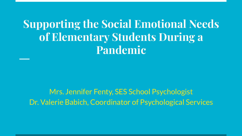**Supporting the Social Emotional Needs of Elementary Students During a Pandemic**

Mrs. Jennifer Fenty, SES School Psychologist Dr. Valerie Babich, Coordinator of Psychological Services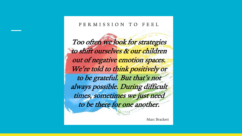#### PERMISSION TO **FERL**

Too often we look for strategies to shift ourselves & our children out of negative emotion spaces. We're told to think positively or to be grateful. But that's not always possible. During difficult times, sometimes we just need to be there for one another.

Marc Brackett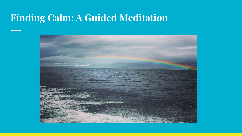#### **Finding Calm: A Guided Meditation**

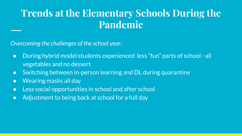### **Trends at the Elementary Schools During the Pandemic**

*Overcoming the challenges of the school year:*

- During hybrid model students experienced less "fun" parts of school all vegetables and no dessert
- Switching between in-person learning and DL during quarantine
- Wearing masks all day
- Less social opportunities in school and after school
- Adjustment to being back at school for a full day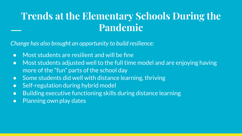### **Trends at the Elementary Schools During the Pandemic**

*Change has also brought an opportunity to build resilience:* 

- Most students are resilient and will be fine
- Most students adjusted well to the full time model and are enjoying having more of the "fun" parts of the school day
- Some students did well with distance learning, thriving
- Self-regulation during hybrid model
- Building executive functioning skills during distance learning
- Planning own play dates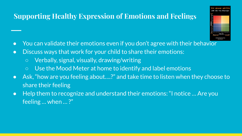#### **Supporting Healthy Expression of Emotions and Feelings**

- You can validate their emotions even if you don't agree with their behavior
- Discuss ways that work for your child to share their emotions:
	- Verbally, signal, visually, drawing/writing
	- Use the Mood Meter at home to identify and label emotions
- Ask, "how are you feeling about….?" and take time to listen when they choose to share their feeling
- Help them to recognize and understand their emotions: "I notice ... Are you feeling … when … ?"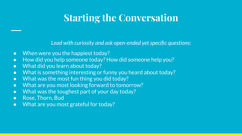### **Starting the Conversation**

*Lead with curiosity and ask open-ended yet specific questions:*

- When were you the happiest today?
- How did you help someone today? How did someone help you?
- What did you learn about today?
- What is something interesting or funny you heard about today?
- What was the most fun thing you did today?
- What are you most looking forward to tomorrow?
- What was the toughest part of your day today?
- Rose, Thorn, Bud
- What are you most grateful for today?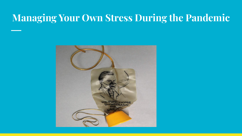#### **Managing Your Own Stress During the Pandemic**

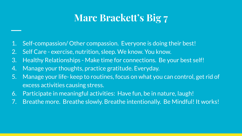## **Marc Brackett's Big 7**

- 1. Self-compassion/ Other compassion. Everyone is doing their best!
- 2. Self Care exercise, nutrition, sleep. We know. You know.
- 3. Healthy Relationships Make time for connections. Be your best self!
- 4. Manage your thoughts, practice gratitude. Everyday.
- 5. Manage your life- keep to routines, focus on what you can control, get rid of excess activities causing stress.
- 6. Participate in meaningful activities: Have fun, be in nature, laugh!
- 7. Breathe more. Breathe slowly. Breathe intentionally. Be Mindful! It works!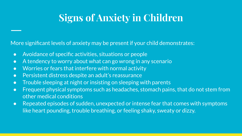# **Signs of Anxiety in Children**

More significant levels of anxiety may be present if your child demonstrates:

- Avoidance of specific activities, situations or people
- A tendency to worry about what can go wrong in any scenario
- Worries or fears that interfere with normal activity
- Persistent distress despite an adult's reassurance
- Trouble sleeping at night or insisting on sleeping with parents
- Frequent physical symptoms such as headaches, stomach pains, that do not stem from other medical conditions
- Repeated episodes of sudden, unexpected or intense fear that comes with symptoms like heart pounding, trouble breathing, or feeling shaky, sweaty or dizzy.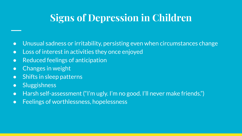# **Signs of Depression in Children**

- Unusual sadness or irritability, persisting even when circumstances change
- Loss of interest in activities they once enjoyed
- Reduced feelings of anticipation
- Changes in weight
- Shifts in sleep patterns
- Sluggishness
- Harsh self-assessment ("I'm ugly. I'm no good. I'll never make friends.")
- Feelings of worthlessness, hopelessness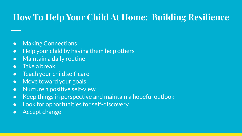#### **How To Help Your Child At Home: Building Resilience**

- Making Connections
- Help your child by having them help others
- Maintain a daily routine
- Take a break
- Teach your child self-care
- Move toward your goals
- Nurture a positive self-view
- Keep things in perspective and maintain a hopeful outlook
- Look for opportunities for self-discovery
- Accept change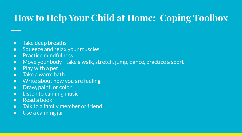### **How to Help Your Child at Home: Coping Toolbox**

- Take deep breaths
- Squeeze and relax your muscles
- **•** Practice mindfulness
- Move your body take a walk, stretch, jump, dance, practice a sport
- Play with a pet
- Take a warm bath
- Write about how you are feeling
- Draw, paint, or color
- Listen to calming music
- Read a book
- Talk to a family member or friend
- Use a calming jar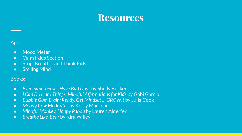#### **Resources**

#### Apps:

- Mood Meter
- Calm (Kids Section)
- Stop, Breathe, and Think Kids
- Smiling Mind

#### Books:

- *● Even Superheroes Have Bad Days* by Shelly Becker
- *I Can Do Hard Things: Mindful Affirmations for Kids* by Gabi Garcia
- *● Bubble Gum Brain: Ready, Get Mindset … GROW!!* by Julia Cook
- *● Moody Cow Meditates b*y Kerry MacLean
- *Mindful Monkey, Happy Panda* by Lauren Alderfer
- *Breathe Like Bear* by Kira Willey